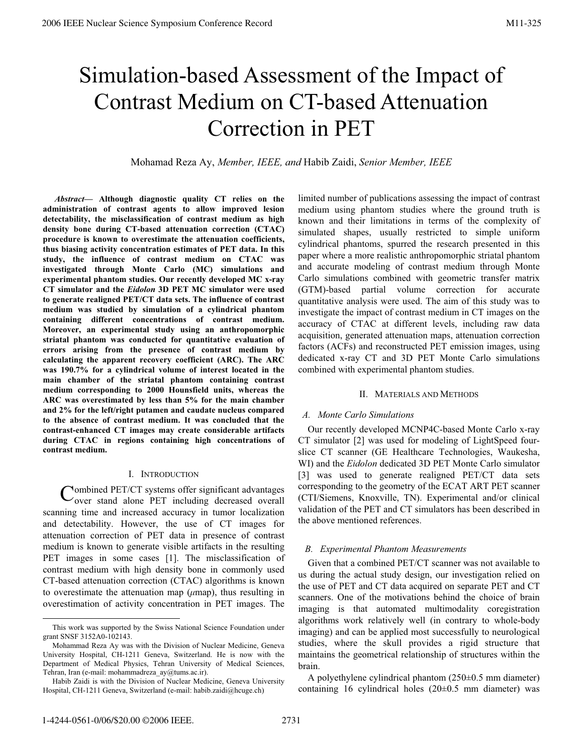# Simulation-based Assessment of the Impact of Contrast Medium on CT-based Attenuation Correction in PET

Mohamad Reza Ay, *Member, IEEE, and* Habib Zaidi, *Senior Member, IEEE*

*Abstract—* **Although diagnostic quality CT relies on the administration of contrast agents to allow improved lesion detectability, the misclassification of contrast medium as high density bone during CT-based attenuation correction (CTAC) procedure is known to overestimate the attenuation coefficients, thus biasing activity concentration estimates of PET data. In this study, the influence of contrast medium on CTAC was investigated through Monte Carlo (MC) simulations and experimental phantom studies. Our recently developed MC x-ray CT simulator and the** *Eidolon* **3D PET MC simulator were used to generate realigned PET/CT data sets. The influence of contrast medium was studied by simulation of a cylindrical phantom containing different concentrations of contrast medium. Moreover, an experimental study using an anthropomorphic striatal phantom was conducted for quantitative evaluation of errors arising from the presence of contrast medium by calculating the apparent recovery coefficient (ARC). The ARC was 190.7% for a cylindrical volume of interest located in the main chamber of the striatal phantom containing contrast medium corresponding to 2000 Hounsfield units, whereas the ARC was overestimated by less than 5% for the main chamber and 2% for the left/right putamen and caudate nucleus compared to the absence of contrast medium. It was concluded that the contrast-enhanced CT images may create considerable artifacts during CTAC in regions containing high concentrations of contrast medium.** 

### I. INTRODUCTION

ombined PET/CT systems offer significant advantages  $\mathbf{C}_{over}$  stand alone PET including decreased overall scanning time and increased accuracy in tumor localization and detectability. However, the use of CT images for attenuation correction of PET data in presence of contrast medium is known to generate visible artifacts in the resulting PET images in some cases [1]. The misclassification of contrast medium with high density bone in commonly used CT-based attenuation correction (CTAC) algorithms is known to overestimate the attenuation map (*μ*map), thus resulting in overestimation of activity concentration in PET images. The

limited number of publications assessing the impact of contrast medium using phantom studies where the ground truth is known and their limitations in terms of the complexity of simulated shapes, usually restricted to simple uniform cylindrical phantoms, spurred the research presented in this paper where a more realistic anthropomorphic striatal phantom and accurate modeling of contrast medium through Monte Carlo simulations combined with geometric transfer matrix (GTM)-based partial volume correction for accurate quantitative analysis were used. The aim of this study was to investigate the impact of contrast medium in CT images on the accuracy of CTAC at different levels, including raw data acquisition, generated attenuation maps, attenuation correction factors (ACFs) and reconstructed PET emission images, using dedicated x-ray CT and 3D PET Monte Carlo simulations combined with experimental phantom studies.

### II. MATERIALS AND METHODS

## *A. Monte Carlo Simulations*

Our recently developed MCNP4C-based Monte Carlo x-ray CT simulator [2] was used for modeling of LightSpeed fourslice CT scanner (GE Healthcare Technologies, Waukesha, WI) and the *Eidolon* dedicated 3D PET Monte Carlo simulator [3] was used to generate realigned PET/CT data sets corresponding to the geometry of the ECAT ART PET scanner (CTI/Siemens, Knoxville, TN). Experimental and/or clinical validation of the PET and CT simulators has been described in the above mentioned references.

#### *B. Experimental Phantom Measurements*

Given that a combined PET/CT scanner was not available to us during the actual study design, our investigation relied on the use of PET and CT data acquired on separate PET and CT scanners. One of the motivations behind the choice of brain imaging is that automated multimodality coregistration algorithms work relatively well (in contrary to whole-body imaging) and can be applied most successfully to neurological studies, where the skull provides a rigid structure that maintains the geometrical relationship of structures within the brain.

A polyethylene cylindrical phantom (250±0.5 mm diameter) containing 16 cylindrical holes  $(20\pm0.5 \text{ mm}$  diameter) was

This work was supported by the Swiss National Science Foundation under grant SNSF 3152A0-102143.

Mohammad Reza Ay was with the Division of Nuclear Medicine, Geneva University Hospital, CH-1211 Geneva, Switzerland. He is now with the Department of Medical Physics, Tehran University of Medical Sciences, Tehran, Iran (e-mail: mohammadreza\_ay@tums.ac.ir).

Habib Zaidi is with the Division of Nuclear Medicine, Geneva University Hospital, CH-1211 Geneva, Switzerland (e-mail: habib.zaidi@hcuge.ch)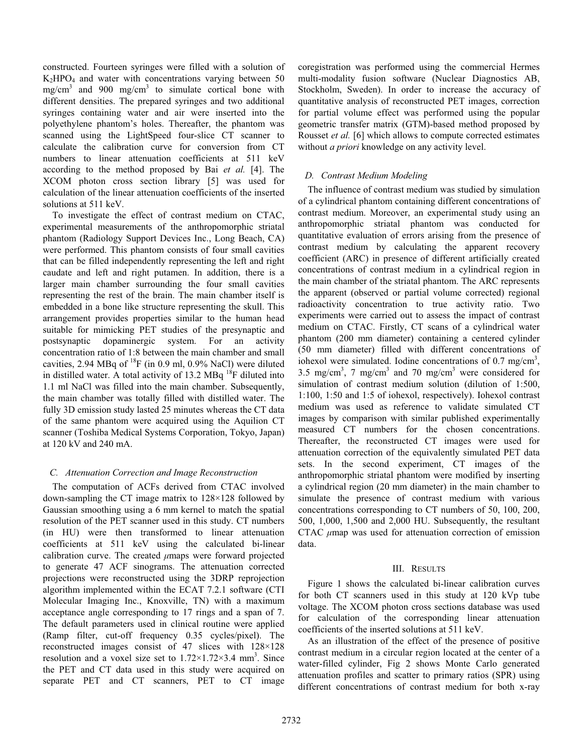constructed. Fourteen syringes were filled with a solution of K2HPO4 and water with concentrations varying between 50  $mg/cm<sup>3</sup>$  and 900 mg/cm<sup>3</sup> to simulate cortical bone with different densities. The prepared syringes and two additional syringes containing water and air were inserted into the polyethylene phantom's holes. Thereafter, the phantom was scanned using the LightSpeed four-slice CT scanner to calculate the calibration curve for conversion from CT numbers to linear attenuation coefficients at 511 keV according to the method proposed by Bai *et al.* [4]. The XCOM photon cross section library [5] was used for calculation of the linear attenuation coefficients of the inserted solutions at 511 keV.

To investigate the effect of contrast medium on CTAC, experimental measurements of the anthropomorphic striatal phantom (Radiology Support Devices Inc., Long Beach, CA) were performed. This phantom consists of four small cavities that can be filled independently representing the left and right caudate and left and right putamen. In addition, there is a larger main chamber surrounding the four small cavities representing the rest of the brain. The main chamber itself is embedded in a bone like structure representing the skull. This arrangement provides properties similar to the human head suitable for mimicking PET studies of the presynaptic and postsynaptic dopaminergic system. For an activity concentration ratio of 1:8 between the main chamber and small cavities, 2.94 MBq of  $^{18}F$  (in 0.9 ml, 0.9% NaCl) were diluted in distilled water. A total activity of 13.2 MBq  $^{18}$ F diluted into 1.1 ml NaCl was filled into the main chamber. Subsequently, the main chamber was totally filled with distilled water. The fully 3D emission study lasted 25 minutes whereas the CT data of the same phantom were acquired using the Aquilion CT scanner (Toshiba Medical Systems Corporation, Tokyo, Japan) at 120 kV and 240 mA.

## *C. Attenuation Correction and Image Reconstruction*

The computation of ACFs derived from CTAC involved down-sampling the CT image matrix to 128×128 followed by Gaussian smoothing using a 6 mm kernel to match the spatial resolution of the PET scanner used in this study. CT numbers (in HU) were then transformed to linear attenuation coefficients at 511 keV using the calculated bi-linear calibration curve. The created *μ*maps were forward projected to generate 47 ACF sinograms. The attenuation corrected projections were reconstructed using the 3DRP reprojection algorithm implemented within the ECAT 7.2.1 software (CTI Molecular Imaging Inc., Knoxville, TN) with a maximum acceptance angle corresponding to 17 rings and a span of 7. The default parameters used in clinical routine were applied (Ramp filter, cut-off frequency 0.35 cycles/pixel). The reconstructed images consist of 47 slices with 128×128 resolution and a voxel size set to  $1.72 \times 1.72 \times 3.4$  mm<sup>3</sup>. Since the PET and CT data used in this study were acquired on separate PET and CT scanners, PET to CT image

coregistration was performed using the commercial Hermes multi-modality fusion software (Nuclear Diagnostics AB, Stockholm, Sweden). In order to increase the accuracy of quantitative analysis of reconstructed PET images, correction for partial volume effect was performed using the popular geometric transfer matrix (GTM)-based method proposed by Rousset *et al.* [6] which allows to compute corrected estimates without *a priori* knowledge on any activity level.

## *D. Contrast Medium Modeling*

The influence of contrast medium was studied by simulation of a cylindrical phantom containing different concentrations of contrast medium. Moreover, an experimental study using an anthropomorphic striatal phantom was conducted for quantitative evaluation of errors arising from the presence of contrast medium by calculating the apparent recovery coefficient (ARC) in presence of different artificially created concentrations of contrast medium in a cylindrical region in the main chamber of the striatal phantom. The ARC represents the apparent (observed or partial volume corrected) regional radioactivity concentration to true activity ratio. Two experiments were carried out to assess the impact of contrast medium on CTAC. Firstly, CT scans of a cylindrical water phantom (200 mm diameter) containing a centered cylinder (50 mm diameter) filled with different concentrations of iohexol were simulated. Iodine concentrations of 0.7 mg/cm<sup>3</sup>, 3.5 mg/cm<sup>3</sup>, 7 mg/cm<sup>3</sup> and 70 mg/cm<sup>3</sup> were considered for simulation of contrast medium solution (dilution of 1:500, 1:100, 1:50 and 1:5 of iohexol, respectively). Iohexol contrast medium was used as reference to validate simulated CT images by comparison with similar published experimentally measured CT numbers for the chosen concentrations. Thereafter, the reconstructed CT images were used for attenuation correction of the equivalently simulated PET data sets. In the second experiment, CT images of the anthropomorphic striatal phantom were modified by inserting a cylindrical region (20 mm diameter) in the main chamber to simulate the presence of contrast medium with various concentrations corresponding to CT numbers of 50, 100, 200, 500, 1,000, 1,500 and 2,000 HU. Subsequently, the resultant CTAC *μ*map was used for attenuation correction of emission data.

## III. RESULTS

Figure 1 shows the calculated bi-linear calibration curves for both CT scanners used in this study at 120 kVp tube voltage. The XCOM photon cross sections database was used for calculation of the corresponding linear attenuation coefficients of the inserted solutions at 511 keV.

As an illustration of the effect of the presence of positive contrast medium in a circular region located at the center of a water-filled cylinder, Fig 2 shows Monte Carlo generated attenuation profiles and scatter to primary ratios (SPR) using different concentrations of contrast medium for both x-ray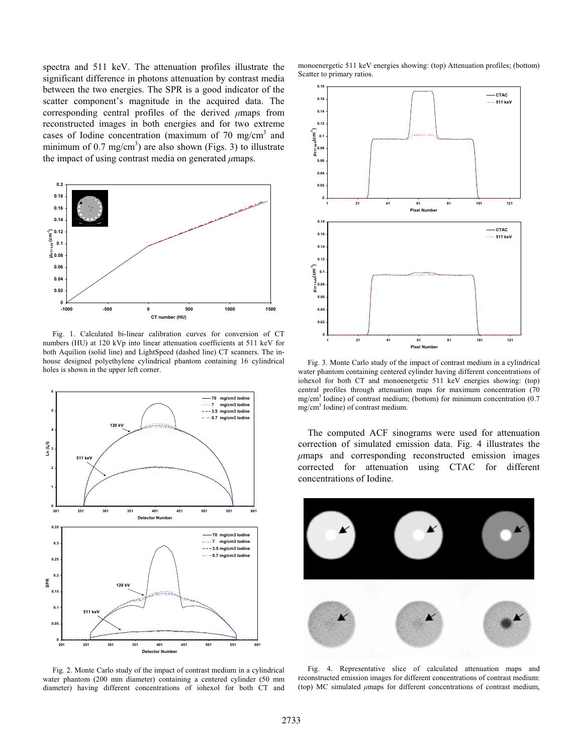spectra and 511 keV. The attenuation profiles illustrate the significant difference in photons attenuation by contrast media between the two energies. The SPR is a good indicator of the scatter component's magnitude in the acquired data. The corresponding central profiles of the derived *μ*maps from reconstructed images in both energies and for two extreme cases of Iodine concentration (maximum of 70 mg/cm<sup>3</sup> and minimum of 0.7 mg/cm<sup>3</sup>) are also shown (Figs. 3) to illustrate the impact of using contrast media on generated *μ*maps.



Fig. 1. Calculated bi-linear calibration curves for conversion of CT numbers (HU) at 120 kVp into linear attenuation coefficients at 511 keV for both Aquilion (solid line) and LightSpeed (dashed line) CT scanners. The inhouse designed polyethylene cylindrical phantom containing 16 cylindrical holes is shown in the upper left corner.



Fig. 2. Monte Carlo study of the impact of contrast medium in a cylindrical water phantom (200 mm diameter) containing a centered cylinder (50 mm diameter) having different concentrations of iohexol for both CT and

monoenergetic 511 keV energies showing: (top) Attenuation profiles; (bottom) Scatter to primary ratios.



Fig. 3. Monte Carlo study of the impact of contrast medium in a cylindrical water phantom containing centered cylinder having different concentrations of iohexol for both CT and monoenergetic 511 keV energies showing: (top) central profiles through attenuation maps for maximum concentration (70 mg/cm<sup>3</sup> Iodine) of contrast medium; (bottom) for minimum concentration  $(0.7)$ mg/cm3 Iodine) of contrast medium.

The computed ACF sinograms were used for attenuation correction of simulated emission data. Fig. 4 illustrates the *μ*maps and corresponding reconstructed emission images corrected for attenuation using CTAC for different concentrations of Iodine.



Fig. 4. Representative slice of calculated attenuation maps and reconstructed emission images for different concentrations of contrast medium: (top) MC simulated *μ*maps for different concentrations of contrast medium,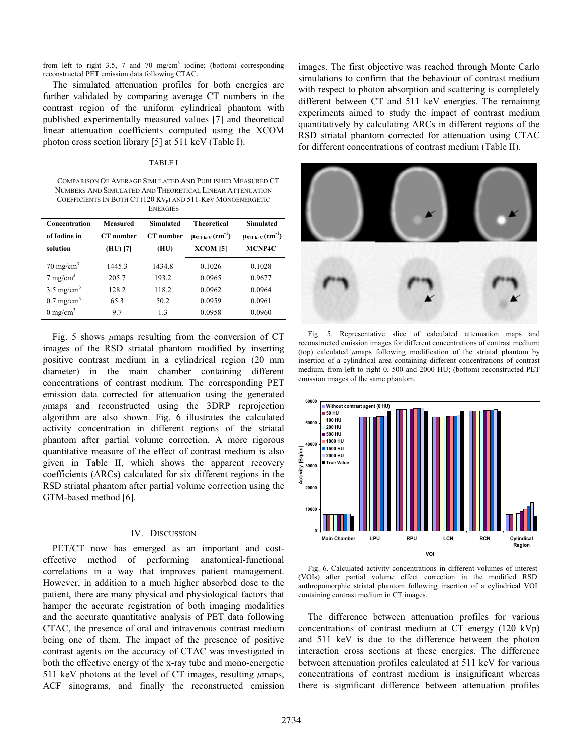from left to right 3.5, 7 and 70 mg/cm<sup>3</sup> iodine; (bottom) corresponding reconstructed PET emission data following CTAC.

The simulated attenuation profiles for both energies are further validated by comparing average CT numbers in the contrast region of the uniform cylindrical phantom with published experimentally measured values [7] and theoretical linear attenuation coefficients computed using the XCOM photon cross section library [5] at 511 keV (Table I).

#### TABLE I

COMPARISON OF AVERAGE SIMULATED AND PUBLISHED MEASURED CT NUMBERS AND SIMULATED AND THEORETICAL LINEAR ATTENUATION COEFFICIENTS IN BOTH CT (120 KV<sub>p</sub>) AND 511-KeV MONOENERGETIC ENERGIES

| Concentration<br>of Lodine in<br>solution | Measured<br>CT number<br>$(HU)$ [7] | Simulated<br>CT number<br>(HU) | <b>Theoretical</b><br>$\mu_{511 \text{ keV}}$ (cm <sup>-1</sup> )<br><b>XCOM [5]</b> | <b>Simulated</b><br>$\mu_{511 \text{ keV}}$ (cm <sup>-1</sup> )<br>MCNP4C |  |
|-------------------------------------------|-------------------------------------|--------------------------------|--------------------------------------------------------------------------------------|---------------------------------------------------------------------------|--|
| $70 \text{ mg/cm}^3$                      | 1445.3                              | 1434.8                         | 0.1026                                                                               | 0.1028                                                                    |  |
| $7 \text{ mg/cm}^3$                       | 205.7                               | 193.2                          | 0.0965                                                                               | 0.9677                                                                    |  |
| $3.5 \text{ mg/cm}^3$                     | 128.2                               | 118.2                          | 0.0962                                                                               | 0.0964                                                                    |  |
| $0.7 \text{ mg/cm}^3$                     | 65.3                                | 50.2                           | 0.0959                                                                               | 0.0961                                                                    |  |
| $0 \text{ mg/cm}^3$                       | 9.7                                 | 1.3                            | 0.0958                                                                               | 0.0960                                                                    |  |

Fig. 5 shows *μ*maps resulting from the conversion of CT images of the RSD striatal phantom modified by inserting positive contrast medium in a cylindrical region (20 mm diameter) in the main chamber containing different concentrations of contrast medium. The corresponding PET emission data corrected for attenuation using the generated *μ*maps and reconstructed using the 3DRP reprojection algorithm are also shown. Fig. 6 illustrates the calculated activity concentration in different regions of the striatal phantom after partial volume correction. A more rigorous quantitative measure of the effect of contrast medium is also given in Table II, which shows the apparent recovery coefficients (ARCs) calculated for six different regions in the RSD striatal phantom after partial volume correction using the GTM-based method [6].

## IV. DISCUSSION

PET/CT now has emerged as an important and costeffective method of performing anatomical-functional correlations in a way that improves patient management. However, in addition to a much higher absorbed dose to the patient, there are many physical and physiological factors that hamper the accurate registration of both imaging modalities and the accurate quantitative analysis of PET data following CTAC, the presence of oral and intravenous contrast medium being one of them. The impact of the presence of positive contrast agents on the accuracy of CTAC was investigated in both the effective energy of the x-ray tube and mono-energetic 511 keV photons at the level of CT images, resulting *μ*maps, ACF sinograms, and finally the reconstructed emission

images. The first objective was reached through Monte Carlo simulations to confirm that the behaviour of contrast medium with respect to photon absorption and scattering is completely different between CT and 511 keV energies. The remaining experiments aimed to study the impact of contrast medium quantitatively by calculating ARCs in different regions of the RSD striatal phantom corrected for attenuation using CTAC for different concentrations of contrast medium (Table II).



Fig. 5. Representative slice of calculated attenuation maps and reconstructed emission images for different concentrations of contrast medium: (top) calculated *μ*maps following modification of the striatal phantom by insertion of a cylindrical area containing different concentrations of contrast medium, from left to right 0, 500 and 2000 HU; (bottom) reconstructed PET emission images of the same phantom.



Fig. 6. Calculated activity concentrations in different volumes of interest (VOIs) after partial volume effect correction in the modified RSD anthropomorphic striatal phantom following insertion of a cylindrical VOI containing contrast medium in CT images.

The difference between attenuation profiles for various concentrations of contrast medium at CT energy (120 kVp) and 511 keV is due to the difference between the photon interaction cross sections at these energies. The difference between attenuation profiles calculated at 511 keV for various concentrations of contrast medium is insignificant whereas there is significant difference between attenuation profiles